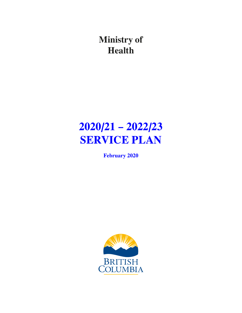**Ministry of Health**

# **2020/21 – 2022/23 SERVICE PLAN**

**February 2020**

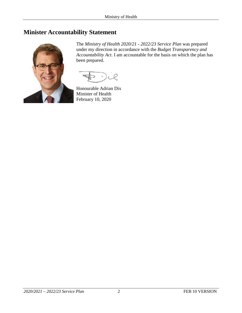# <span id="page-1-0"></span>**Minister Accountability Statement**



The *Ministry of Health 2020/21 - 2022/23 Service Plan* was prepared under my direction in accordance with the *Budget Transparency and Accountability Act*. I am accountable for the basis on which the plan has been prepared.

Honourable Adrian Dix Minister of Health February 10, 2020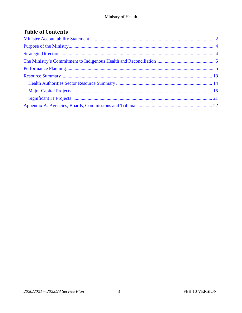# **Table of Contents**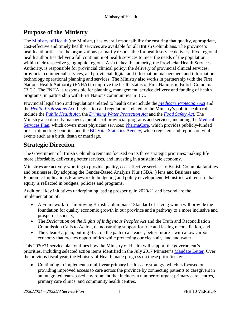# <span id="page-3-0"></span>**Purpose of the Ministry**

The [Ministry of Health](https://www2.gov.bc.ca/gov/content/governments/organizational-structure/ministries-organizations/ministries/health) (the Ministry) has overall responsibility for ensuring that quality, appropriate, cost-effective and timely health services are available for all British Columbians. The province's health authorities are the organizations primarily responsible for health service delivery. Five regional health authorities deliver a full continuum of health services to meet the needs of the population within their respective geographic regions. A sixth health authority, the Provincial Health Services Authority, is responsible for provincial clinical policy, the delivery of provincial clinical services, provincial commercial services, and provincial digital and information management and information technology operational planning and services. The Ministry also works in partnership with the First Nations Health Authority (FNHA) to improve the health status of First Nations in British Columbia (B.C.). The FNHA is responsible for planning, management, service delivery and funding of health programs, in partnership with First Nations communities in B.C.

Provincial legislation and regulations related to health care include the *[Medicare Protection Act](http://www.bclaws.ca/Recon/document/ID/freeside/00_96286_01)* and the *[Health Professions Act](http://www.bclaws.ca/civix/document/id/complete/statreg/96183_01)*. Legislation and regulations related to the Ministry's public health role include the *[Public Health Act](http://www.bclaws.ca/civix/document/id/complete/statreg/08028_01)*, the *[Drinking Water Protection Act](http://www.bclaws.ca/civix/document/id/complete/statreg/01009_01)* and the *[Food Safety Act](http://www.bclaws.ca/Recon/document/ID/freeside/00_02028_01)*. The Ministry also directly manages a number of provincial programs and services, including the [Medical](https://www2.gov.bc.ca/gov/content/health/health-drug-coverage/msp)  [Services Plan,](https://www2.gov.bc.ca/gov/content/health/health-drug-coverage/msp) which covers most physician services; [PharmaCare,](https://www2.gov.bc.ca/gov/content/health/health-drug-coverage/pharmacare-for-bc-residents) which provides publicly-funded prescription drug benefits; and the [BC Vital Statistics Agency,](https://www2.gov.bc.ca/gov/content/family-social-supports/seniors/health-safety/health-care-programs-and-services/vital-statistics?keyword=vital&keyword=statistics&keyword=agency) which registers and reports on vital events such as a birth, death or marriage.

# <span id="page-3-1"></span>**Strategic Direction**

The Government of British Columbia remains focused on its three strategic priorities: making life more affordable, delivering better services, and investing in a sustainable economy.

Ministries are actively working to provide quality, cost-effective services to British Columbia families and businesses. By adopting the Gender-Based Analysis Plus (GBA+) lens and Business and Economic Implications Framework to budgeting and policy development, Ministries will ensure that equity is reflected in budgets, policies and programs.

Additional key initiatives underpinning lasting prosperity in 2020/21 and beyond are the implementation of:

- A Framework for Improving British Columbians' Standard of Living which will provide the foundation for quality economic growth in our province and a pathway to a more inclusive and prosperous society,
- The *Declaration on the Rights of Indigenous Peoples Act* and the Truth and Reconciliation Commission Calls to Action, demonstrating support for true and lasting reconciliation, and
- The CleanBC plan, putting B.C. on the path to a cleaner, better future with a low carbon economy that creates opportunities while protecting our clean air, land and water.

This 2020/21 service plan outlines how the Ministry of Health will support the government's priorities, including selected action items identified in the July 2017 Minister's [Mandate Letter.](https://www2.gov.bc.ca/assets/gov/government/ministries-organizations/premier-cabinet-mlas/minister-letter/dix-mandate.pdf) Over the previous fiscal year, the Ministry of Health made progress on these priorities by:

• Continuing to implement a multi-year primary health-care strategy, which is focused on providing improved access to care across the province by connecting patients to caregivers in an integrated team-based environment that includes a number of urgent primary care centres, primary care clinics, and community health centres.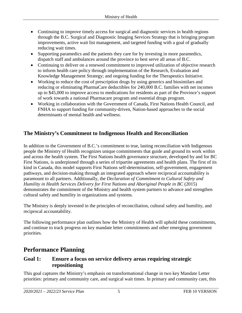- Continuing to improve timely access for surgical and diagnostic services in health regions through the B.C. Surgical and Diagnostic Imaging Services Strategy that is bringing program improvements, active wait list management, and targeted funding with a goal of gradually reducing wait times.
- Supporting paramedics and the patients they care for by investing in more paramedics, dispatch staff and ambulances around the province to best serve all areas of B.C.
- Continuing to deliver on a renewed commitment to improved utilization of objective research to inform health care policy through implementation of the Research, Evaluation and Knowledge Management Strategy; and ongoing funding for the Therapeutics Initiative.
- Working to reduce the cost of prescription drugs by using generics and biosimilars and reducing or eliminating PharmaCare deductibles for 240,000 B.C. families with net incomes up to \$45,000 to improve access to medications for residents as part of the Province's support of work towards a national Pharmacare program and essential drugs program.
- Working in collaboration with the Government of Canada, First Nations Health Council, and FNHA to support funding for community-driven, Nation-based approaches to the social determinants of mental health and wellness.

# <span id="page-4-0"></span>**The Ministry's Commitment to Indigenous Health and Reconciliation**

In addition to the Government of B.C.'s commitment to true, lasting reconciliation with Indigenous people the Ministry of Health recognizes unique commitments that guide and ground its work within and across the health system. The First Nations health governance structure, developed by and for BC First Nations, is underpinned through a series of tripartite agreements and health plans. The first of its kind in Canada, this model supports First Nations self-determination, self-government, engagement pathways, and decision-making through an integrated approach where reciprocal accountability is paramount to all partners. Additionally, the *Declaration of Commitment to Cultural Safety and Humility in Health Services Delivery for First Nations and Aboriginal People in BC* (2015) demonstrates the commitment of the Ministry and health system partners to advance and strengthen cultural safety and humility in organizations and systems.

The Ministry is deeply invested in the principles of reconciliation, cultural safety and humility, and reciprocal accountability.

The following performance plan outlines how the Ministry of Health will uphold these commitments, and continue to track progress on key mandate letter commitments and other emerging government priorities.

# <span id="page-4-1"></span>**Performance Planning**

# **Goal 1: Ensure a focus on service delivery areas requiring strategic repositioning**

This goal captures the Ministry's emphasis on transformational change in two key Mandate Letter priorities: primary and community care, and surgical wait times. In primary and community care, this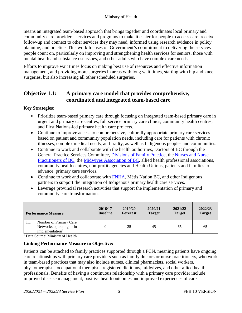means an integrated team-based approach that brings together and coordinates local primary and community care providers, services and programs to make it easier for people to access care, receive follow-up and connect to other services they may need, informed using research evidence in policy, planning, and practice. This work focuses on Government's commitment to delivering the services people count on, particularly on improving and strengthening health services for seniors, those with mental health and substance use issues, and other adults who have complex care needs.

Efforts to improve wait times focus on making best use of resources and effective information management, and providing more surgeries in areas with long wait times, starting with hip and knee surgeries, but also increasing all other scheduled surgeries.

# **Objective 1.1: A primary care model that provides comprehensive, coordinated and integrated team-based care**

# **Key Strategies:**

- Prioritize team-based primary care through focusing on integrated team-based primary care in urgent and primary care centres, full service primary care clinics, community health centres, and First Nations-led primary health care projects.
- Continue to improve access to comprehensive, culturally appropriate primary care services based on patient and community population needs, including care for patients with chronic illnesses, complex medical needs, and frailty, as well as Indigenous peoples and communities.
- Continue to work and collaborate with the health authorities, Doctors of BC through the General Practice Services Committee, [Divisions of Family Practice,](https://www.divisionsbc.ca/) the [Nurses and Nurse](https://www.nnpbc.com/)  [Practitioners of BC,](https://www.nnpbc.com/) the [Midwives Association of BC,](https://www.bcmidwives.com/) allied health professional associations, community health centres, non-profit agencies and Health Unions, patients and families to advance primary care services.
- Continue to work and collaborate with [FNHA,](http://www.fnha.ca/) Métis Nation BC, and other Indigenous partners to support the integration of Indigenous primary health care services.
- Leverage provincial research activities that support the implementation of primary and community care transformation.

| <b>Performance Measure</b>                                                               | 2016/17         | 2019/20         | 2020/21       | 2021/22       | 2022/23       |
|------------------------------------------------------------------------------------------|-----------------|-----------------|---------------|---------------|---------------|
|                                                                                          | <b>Baseline</b> | <b>Forecast</b> | <b>Target</b> | <b>Target</b> | <b>Target</b> |
| Number of Primary Care<br>1.1<br>Networks operating or in<br>implementation <sup>1</sup> |                 | 25              | 45            | 65            | 65            |

<sup>1</sup> Data Source: Ministry of Health

# **Linking Performance Measure to Objective:**

Patients can be attached to family practices supported through a PCN, meaning patients have ongoing care relationships with primary care providers such as family doctors or nurse practitioners, who work in team-based practices that may also include nurses, clinical pharmacists, social workers, physiotherapists, occupational therapists, registered dietitians, midwives, and other allied health professionals. Benefits of having a continuous relationship with a primary care provider include improved disease management, positive health outcomes and improved experiences of care.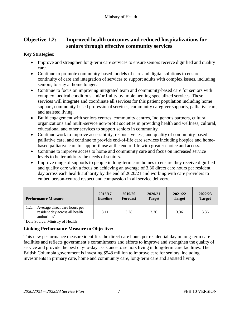# **Objective 1.2: Improved health outcomes and reduced hospitalizations for seniors through effective community services**

# **Key Strategies:**

- Improve and strengthen long-term care services to ensure seniors receive dignified and quality care.
- Continue to promote community-based models of care and digital solutions to ensure continuity of care and integration of services to support adults with complex issues, including seniors, to stay at home longer.
- Continue to focus on improving integrated team and community-based care for seniors with complex medical conditions and/or frailty by implementing specialized services. These services will integrate and coordinate all services for this patient population including home support, community-based professional services, community caregiver supports, palliative care, and assisted living.
- Build engagement with seniors centres, community centres, Indigenous partners, cultural organizations and multi-service non-profit societies in providing health and wellness, cultural, educational and other services to support seniors in community.
- Continue work to improve accessibility, responsiveness, and quality of community-based palliative care, and continue to provide end-of-life care services including hospice and homebased palliative care to support those at the end of life with greater choice and access.
- Continue to improve access to home and community care and focus on increased service levels to better address the needs of seniors.
- Improve range of supports to people in long-term care homes to ensure they receive dignified and quality care with a focus on achieving an average of 3.36 direct care hours per resident day across each health authority by the end of 2020/21 and working with care providers to embed person-centred respect and compassion in all service delivery.

| <b>Performance Measure</b>                                                                          | 2016/17         | 2019/20         | 2020/21       | 2021/22       | 2022/23       |
|-----------------------------------------------------------------------------------------------------|-----------------|-----------------|---------------|---------------|---------------|
|                                                                                                     | <b>Baseline</b> | <b>Forecast</b> | <b>Target</b> | <b>Target</b> | <b>Target</b> |
| Average direct care hours per<br>1.2a<br>resident day across all health<br>authorities <sup>1</sup> | 3.11            | 3.28            | 3.36          | 3.36          | 3.36          |

<sup>1</sup> Data Source: Ministry of Health

# **Linking Performance Measure to Objective:**

This new performance measure identifies the direct care hours per residential day in long-term care facilities and reflects government's commitments and efforts to improve and strengthen the quality of service and provide the best day-to-day assistance to seniors living in long-term care facilities. The British Columbia government is investing \$548 million to improve care for seniors, including investments in primary care, home and community care, long-term care and assisted living.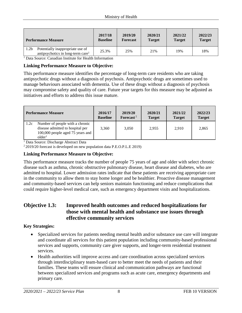| <b>Performance Measure</b>                                                                            | 2017/18<br><b>Baseline</b> | 2019/20<br><b>Forecast</b> | 2020/21<br><b>Target</b> | 2021/22<br><b>Target</b> | 2022/23<br><b>Target</b> |
|-------------------------------------------------------------------------------------------------------|----------------------------|----------------------------|--------------------------|--------------------------|--------------------------|
| 1.2 <sub>b</sub><br>Potentially inappropriate use of<br>antipsychotics in long-term care <sup>1</sup> | 25.3%                      | 25%                        | 21%                      | 19%                      | 18%                      |

<sup>1</sup> Data Source: Canadian Institute for Health Information

#### **Linking Performance Measure to Objective:**

This performance measure identifies the percentage of long-term care residents who are taking antipsychotic drugs without a diagnosis of psychosis. Antipsychotic drugs are sometimes used to manage behaviours associated with dementia. Use of these drugs without a diagnosis of psychosis may compromise safety and quality of care. Future year targets for this measure may be adjusted as initiatives and efforts to address this issue mature.

|      | <b>Performance Measure</b>                                                                                                    | 2016/17<br><b>Baseline</b> | 2019/20<br>Forecast <sup>2</sup> | 2020/21<br><b>Target</b> | 2021/22<br><b>Target</b> | 2022/23<br><b>Target</b> |
|------|-------------------------------------------------------------------------------------------------------------------------------|----------------------------|----------------------------------|--------------------------|--------------------------|--------------------------|
| 1.2c | Number of people with a chronic<br>disease admitted to hospital per<br>100,000 people aged 75 years and<br>older <sup>1</sup> | 3,360                      | 3,050                            | 2.955                    | 2.910                    | 2,865                    |

<sup>1</sup> Data Source: Discharge Abstract Data

2 2019/20 forecast is developed on new population data P.E.O.P.L.E 2019)

# **Linking Performance Measure to Objective:**

This performance measure tracks the number of people 75 years of age and older with select chronic disease such as asthma, chronic obstructive pulmonary disease, heart disease and diabetes, who are admitted to hospital. Lower admission rates indicate that these patients are receiving appropriate care in the community to allow them to stay home longer and be healthier. Proactive disease management and community-based services can help seniors maintain functioning and reduce complications that could require higher-level medical care, such as emergency department visits and hospitalizations.

# **Objective 1.3: Improved health outcomes and reduced hospitalizations for those with mental health and substance use issues through effective community services**

# **Key Strategies:**

- Specialized services for patients needing mental health and/or substance use care will integrate and coordinate all services for this patient population including community-based professional services and supports, community care giver supports, and longer-term residential treatment services.
- Health authorities will improve access and care coordination across specialized services through interdisciplinary team-based care to better meet the needs of patients and their families. These teams will ensure clinical and communication pathways are functional between specialized services and programs such as acute care, emergency departments and primary care.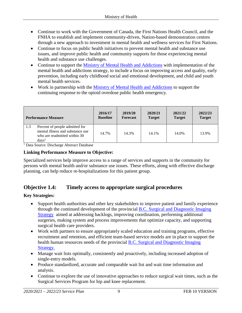- Continue to work with the Government of Canada, the First Nations Health Council, and the FNHA to establish and implement community-driven, Nation-based demonstration centres through a new approach to investment in mental health and wellness services for First Nations.
- Continue to focus on public health initiatives to prevent mental health and substance use issues, and improve public health and community supports for those experiencing mental health and substance use challenges.
- Continue to support the [Ministry of Mental Health and Addictions](https://www2.gov.bc.ca/gov/content/governments/organizational-structure/ministries-organizations/ministries/mental-health-addictions) with implementation of the mental health and addictions strategy, to include a focus on improving access and quality, early prevention, including early childhood social and emotional development, and child and youth mental health services.
- Work in partnership with the [Ministry of Mental Health and Addictions](https://www2.gov.bc.ca/gov/content/governments/organizational-structure/ministries-organizations/ministries/mental-health-addictions) to support the continuing response to the opioid overdose public health emergency.

|     | <b>Performance Measure</b>                                                                                 | 2016/17<br><b>Baseline</b> | 2019/20<br><b>Forecast</b> | 2020/21<br><b>Target</b> | 2021/22<br><b>Target</b> | 2022/23<br><b>Target</b> |
|-----|------------------------------------------------------------------------------------------------------------|----------------------------|----------------------------|--------------------------|--------------------------|--------------------------|
| 1.3 | Percent of people admitted for<br>mental illness and substance use<br>who are readmitted within 30<br>days | 14.7%                      | 14.3%                      | 14.1%                    | 14.0%                    | 13.9%                    |

<sup>1</sup> Data Source: Discharge Abstract Database

# **Linking Performance Measure to Objective:**

Specialized services help improve access to a range of services and supports in the community for persons with mental health and/or substance use issues. These efforts, along with effective discharge planning, can help reduce re-hospitalizations for this patient group.

# **Objective 1.4: Timely access to appropriate surgical procedures**

# **Key Strategies:**

- Support health authorities and other key stakeholders to improve patient and family experience through the continued development of the provincial [B.C. Surgical and Diagnostic Imaging](https://news.gov.bc.ca/releases/2018PREM0010-000460)  [Strategy](https://news.gov.bc.ca/releases/2018PREM0010-000460) aimed at addressing backlogs, improving coordination, performing additional surgeries, making system and process improvements that optimize capacity, and supporting surgical health care providers.
- Work with partners to ensure appropriately scaled education and training programs, effective recruitment and retention, and efficient team-based service models are in place to support the health human resources needs of the provincial [B.C. Surgical and Diagnostic Imaging](https://news.gov.bc.ca/releases/2018PREM0010-000460)  [Strategy.](https://news.gov.bc.ca/releases/2018PREM0010-000460)
- Manage wait lists optimally, consistently and proactively, including increased adoption of single-entry models.
- Produce standardized, accurate and comparable wait list and wait time information and analysis.
- Continue to explore the use of innovative approaches to reduce surgical wait times, such as the Surgical Services Program for hip and knee replacement.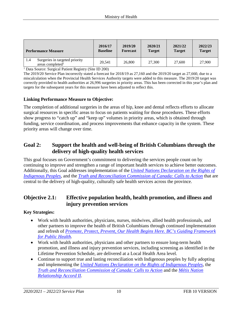| <b>Performance Measure</b> |                                                                | 2016/17         | 2019/20         | 2020/21       | 2021/22       | 2022/23       |
|----------------------------|----------------------------------------------------------------|-----------------|-----------------|---------------|---------------|---------------|
|                            |                                                                | <b>Baseline</b> | <b>Forecast</b> | <b>Target</b> | <b>Target</b> | <b>Target</b> |
| 1.4                        | Surgeries in targeted priority<br>areas completed <sup>1</sup> | 20.541          | 26,800          | 27,300        | 27,600        | 27,900        |

<sup>1</sup> Data Source: Surgical Patient Registry (Site ID 200)

The 2019/20 Service Plan incorrectly stated a forecast for 2018/19 as 27,160 and the 2019/20 target as 27,660, due to a miscalculation when the Provincial Health Services Authority targets were added to this measure. The 2019/20 target was correctly provided to health authorities at 26,996 surgeries in priority areas. This has been corrected in this year's plan and targets for the subsequent years for this measure have been adjusted to reflect this.

#### **Linking Performance Measure to Objective:**

The completion of additional surgeries in the areas of hip, knee and dental reflects efforts to allocate surgical resources in specific areas to focus on patients waiting for those procedures. These efforts show progress to "catch up" and "keep up" volumes in priority areas, which is obtained through funding, service coordination, and process improvements that enhance capacity in the system. These priority areas will change over time.

# **Goal 2: Support the health and well-being of British Columbians through the delivery of high-quality health services**

This goal focuses on Government's commitment to delivering the services people count on by continuing to improve and strengthen a range of important health services to achieve better outcomes. Additionally, this Goal addresses implementation of the *[United Nations Declaration on the Rights of](https://www.un.org/esa/socdev/unpfii/documents/DRIPS_en.pdf)  [Indigenous Peoples](https://www.un.org/esa/socdev/unpfii/documents/DRIPS_en.pdf)*, and the *[Truth and Reconciliation Commission of Canada: Calls to Action](https://www2.gov.bc.ca/assets/gov/british-columbians-our-governments/indigenous-people/aboriginal-peoples-documents/calls_to_action_english2.pdf)* that are central to the delivery of high-quality, culturally safe health services across the province.

# **Objective 2.1: Effective population health, health promotion, and illness and injury prevention services**

#### **Key Strategies:**

- Work with health authorities, physicians, nurses, midwives, allied health professionals, and other partners to improve the health of British Columbians through continued implementation and refresh of *[Promote, Protect, Prevent, Our Health Begins Here. BC's Guiding Framework](http://www.health.gov.bc.ca/library/publications/year/2017/BC-guiding-framework-for-public-health-2017-update.pdf)  [for Public Health.](http://www.health.gov.bc.ca/library/publications/year/2017/BC-guiding-framework-for-public-health-2017-update.pdf)*
- Work with health authorities, physicians and other partners to ensure long-term health promotion, and illness and injury prevention services, including screening as identified in the Lifetime Prevention Schedule, are delivered at a Local Health Area level.
- Continue to support true and lasting reconciliation with Indigenous peoples by fully adopting and implementing the *[United Nations Declaration on the Rights of Indigenous Peoples](http://www.un.org/esa/socdev/unpfii/documents/DRIPS_en.pdf)*, the *[Truth and Reconciliation Commission of Canada: Calls to Action](https://www2.gov.bc.ca/assets/gov/british-columbians-our-governments/indigenous-people/aboriginal-peoples-documents/calls_to_action_english2.pdf)* and the *[Métis Nation](https://www2.gov.bc.ca/gov/content/governments/indigenous-people/new-relationship/m-tis-nation-relationship-accord)  [Relationship Accord II](https://www2.gov.bc.ca/gov/content/governments/indigenous-people/new-relationship/m-tis-nation-relationship-accord)*.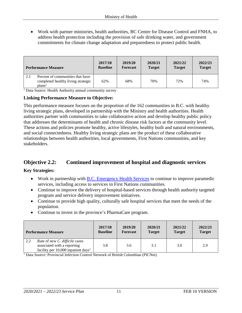• Work with partner ministries, health authorities, BC Centre for Disease Control and FNHA, to address health protection including the provision of safe drinking water, and government commitments for climate change adaptation and preparedness to protect public health.

| <b>Performance Measure</b>                                                                   | 2017/18         | 2019/20         | 2020/21       | 2021/22       | 2022/23       |
|----------------------------------------------------------------------------------------------|-----------------|-----------------|---------------|---------------|---------------|
|                                                                                              | <b>Baseline</b> | <b>Forecast</b> | <b>Target</b> | <b>Target</b> | <b>Target</b> |
| Percent of communities that have<br>completed healthy living strategic<br>plans <sup>1</sup> | 62%             | 68%             | 70%           | 72%           | 74%           |

<sup>1</sup> Data Source: Health Authority annual community survey

#### **Linking Performance Measure to Objective:**

This performance measure focuses on the proportion of the 162 communities in B.C. with healthy living strategic plans, developed in partnership with the Ministry and health authorities. Health authorities partner with communities to take collaborative action and develop healthy public policy that addresses the determinants of health and chronic disease risk factors at the community level. These actions and policies promote healthy, active lifestyles, healthy built and natural environments, and social connectedness. Healthy living strategic plans are the product of these collaborative relationships between health authorities, local governments, First Nations communities, and key stakeholders.

# **Objective 2.2: Continued improvement of hospital and diagnostic services**

# **Key Strategies:**

- Work in partnership with [B.C. Emergency Health Services](http://www.bcehs.ca/) to continue to improve paramedic services, including access to services in First Nations communities.
- Continue to improve the delivery of hospital-based services through health authority targeted program and service delivery improvement initiatives.
- Continue to provide high quality, culturally safe hospital services that meet the needs of the population.
- Continue to invest in the province's PharmaCare program.

|     | <b>Performance Measure</b>                                                                                         | 2017/18<br><b>Baseline</b> | 2019/20<br><b>Forecast</b> | 2020/21<br><b>Target</b> | 2021/22<br><b>Target</b> | 2022/23<br><b>Target</b> |
|-----|--------------------------------------------------------------------------------------------------------------------|----------------------------|----------------------------|--------------------------|--------------------------|--------------------------|
| 2.2 | Rate of new C. difficile cases<br>associated with a reporting<br>facility per $10,000$ inpatient days <sup>1</sup> | 3.8                        | 3.6                        | 3.1                      | 3.0                      | 2.9                      |

<sup>1</sup> Data Source: Provincial Infection Control Network of British Columbian (PICNet)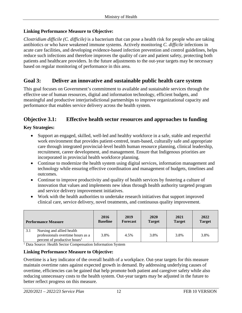# **Linking Performance Measure to Objective:**

*Clostridium difficile (C. difficile)* is a bacterium that can pose a health risk for people who are taking antibiotics or who have weakened immune systems. Actively monitoring *C. difficile* infections in acute care facilities, and developing evidence-based infection prevention and control guidelines, helps reduce such infections and therefore improves the quality of care and patient safety, protecting both patients and healthcare providers. In the future adjustments to the out-year targets may be necessary based on regular monitoring of performance in this area.

# **Goal 3: Deliver an innovative and sustainable public health care system**

This goal focuses on Government's commitment to available and sustainable services through the effective use of human resources, digital and information technology, efficient budgets, and meaningful and productive interjurisdictional partnerships to improve organizational capacity and performance that enables service delivery across the health system.

# **Objective 3.1: Effective health sector resources and approaches to funding**

# **Key Strategies:**

- Support an engaged, skilled, well-led and healthy workforce in a safe, stable and respectful work environment that provides patient-centred, team-based, culturally safe and appropriate care through integrated provincial-level health human resource planning, clinical leadership, recruitment, career development, and management. Ensure that Indigenous priorities are incorporated in provincial health workforce planning.
- Continue to modernize the health system using digital services, information management and technology while ensuring effective coordination and management of budgets, timelines and outcomes.
- Continue to improve productivity and quality of health services by fostering a culture of innovation that values and implements new ideas through health authority targeted program and service delivery improvement initiatives.
- Work with the health authorities to undertake research initiatives that support improved clinical care, service delivery, novel treatments, and continuous quality improvement.

|     | <b>Performance Measure</b>                                                                                 | 2016<br><b>Baseline</b> | 2019<br><b>Forecast</b> | 2020<br><b>Target</b> | 2021<br><b>Target</b> | 2022<br><b>Target</b> |
|-----|------------------------------------------------------------------------------------------------------------|-------------------------|-------------------------|-----------------------|-----------------------|-----------------------|
| 3.1 | Nursing and allied health<br>professionals overtime hours as a<br>percent of productive hours <sup>1</sup> | 3.8%                    | 4.5%                    | 3.8%                  | 3.8%                  | 3.8%                  |

<sup>1</sup> Data Source: Health Sector Compensation Information System

#### **Linking Performance Measure to Objective:**

Overtime is a key indicator of the overall health of a workplace. Out-year targets for this measure maintain overtime rates against expected growth in demand. By addressing underlying causes of overtime, efficiencies can be gained that help promote both patient and caregiver safety while also reducing unnecessary costs to the health system. Out-year targets may be adjusted in the future to better reflect progress on this measure.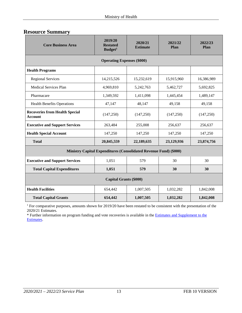<span id="page-12-0"></span>

| <b>Core Business Area</b>                               | 2019/20<br><b>Restated</b><br>Budget <sup>1</sup>                 | 2020/21<br><b>Estimate</b> | 2021/22<br>Plan | 2022/23<br>Plan |  |  |  |  |  |
|---------------------------------------------------------|-------------------------------------------------------------------|----------------------------|-----------------|-----------------|--|--|--|--|--|
| <b>Operating Expenses (\$000)</b>                       |                                                                   |                            |                 |                 |  |  |  |  |  |
| <b>Health Programs</b>                                  |                                                                   |                            |                 |                 |  |  |  |  |  |
| <b>Regional Services</b>                                | 14,215,526                                                        | 15,232,619                 | 15,915,960      | 16,386,989      |  |  |  |  |  |
| Medical Services Plan                                   | 4,969,810                                                         | 5,242,763                  | 5,462,727       | 5,692,825       |  |  |  |  |  |
| Pharmacare                                              | 1,349,592                                                         | 1,411,098                  | 1,445,454       | 1,489,147       |  |  |  |  |  |
| <b>Health Benefits Operations</b>                       | 47,147                                                            | 48,147                     | 49,158          | 49,158          |  |  |  |  |  |
| <b>Recoveries from Health Special</b><br><b>Account</b> | (147, 250)                                                        | (147,250)                  | (147, 250)      | (147, 250)      |  |  |  |  |  |
| <b>Executive and Support Services</b>                   | 263,484                                                           | 255,008                    | 256,637         | 256,637         |  |  |  |  |  |
| <b>Health Special Account</b>                           | 147,250                                                           | 147,250                    | 147,250         | 147,250         |  |  |  |  |  |
| <b>Total</b>                                            | 20,845,559                                                        | 22,189,635                 | 23,129,936      | 23,874,756      |  |  |  |  |  |
|                                                         | Ministry Capital Expenditures (Consolidated Revenue Fund) (\$000) |                            |                 |                 |  |  |  |  |  |
| <b>Executive and Support Services</b>                   | 1,051                                                             | 579                        | 30              | 30              |  |  |  |  |  |
| <b>Total Capital Expenditures</b>                       | 1,051                                                             | 579                        | 30              | 30              |  |  |  |  |  |
| <b>Capital Grants (\$000)</b>                           |                                                                   |                            |                 |                 |  |  |  |  |  |
| <b>Health Facilities</b>                                | 654,442                                                           | 1,007,505                  | 1,032,282       | 1,842,008       |  |  |  |  |  |
| <b>Total Capital Grants</b>                             | 654,442                                                           | 1,007,505                  | 1,032,282       | 1,842,008       |  |  |  |  |  |

<sup>1</sup> For comparative purposes, amounts shown for 2019/20 have been restated to be consistent with the presentation of the 2020/21 Estimates.

\* Further information on program funding and vote recoveries is available in th[e Estimates and Supplement to the](http://www.bcbudget.gov.bc.ca/)  [Estimates.](http://www.bcbudget.gov.bc.ca/)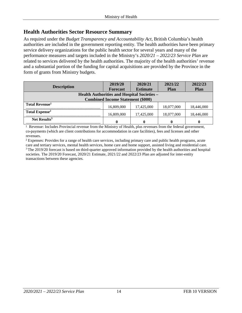# <span id="page-13-0"></span>**Health Authorities Sector Resource Summary**

As required under the *Budget Transparency and Accountability Act*, British Columbia's health authorities are included in the government reporting entity. The health authorities have been primary service delivery organizations for the public health sector for several years and many of the performance measures and targets included in the Ministry's *2020/21 – 2022/23 Service Plan* are related to services delivered by the health authorities. The majority of the health authorities' revenue and a substantial portion of the funding for capital acquisitions are provided by the Province in the form of grants from Ministry budgets.

|                                                    | 2019/20                                  | 2020/21         | 2021/22     | 2022/23     |
|----------------------------------------------------|------------------------------------------|-----------------|-------------|-------------|
| <b>Description</b>                                 | <b>Forecast</b>                          | <b>Estimate</b> | <b>Plan</b> | <b>Plan</b> |
| <b>Health Authorities and Hospital Societies -</b> |                                          |                 |             |             |
|                                                    | <b>Combined Income Statement (\$000)</b> |                 |             |             |
| <b>Total Revenue</b> <sup>1</sup>                  | 16,809,000                               | 17,425,000      | 18,077,000  | 18,446,000  |
| Total Expense <sup>2</sup>                         | 16,809,000                               | 17,425,000      | 18,077,000  | 18,446,000  |
| Net Results <sup>3</sup>                           |                                          |                 | 0           |             |

<sup>1</sup> Revenue: Includes Provincial revenue from the Ministry of Health, plus revenues from the federal government, co-payments (which are client contributions for accommodation in care facilities), fees and licenses and other revenues.

<sup>2</sup> Expenses: Provides for a range of health care services, including primary care and public health programs, acute care and tertiary services, mental health services, home care and home support, assisted living and residential care. <sup>3</sup> The 2019/20 forecast is based on third-quarter approved information provided by the health authorities and hospital societies. The 2019/20 Forecast, 2020/21 Estimate, 2021/22 and 2022/23 Plan are adjusted for inter-entity transactions between these agencies.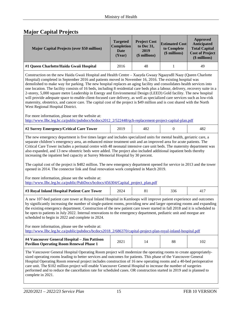# <span id="page-14-0"></span>**Major Capital Projects**

| <b>Major Capital Projects (over \$50 million)</b> | <b>Targeted</b><br><b>Completion</b><br>Date<br>(Year) | <b>Project Cost</b><br>to Dec 31,<br>2019<br>$$$ millions) | <b>Estimated Cost</b><br>to Complete<br>(\$ millions) | Approved<br>Anticipated<br><b>Total Capital</b><br><b>Cost of Project</b><br>(\$ millions) |
|---------------------------------------------------|--------------------------------------------------------|------------------------------------------------------------|-------------------------------------------------------|--------------------------------------------------------------------------------------------|
| #1 Queen Charlotte/Haida Gwaii Hospital           | 2016                                                   | 48                                                         |                                                       | 49                                                                                         |

Construction on the new Haida Gwaii Hospital and Health Centre – Xaayda Gwaay Ngaaysdll Naay (Queen Charlotte Hospital) completed in September 2016 and patients moved in November 16, 2016. The existing hospital was demolished to make way for parking. The new hospital replaces an aging facility and consolidates health services into one location. The facility consists of 16 beds, including 8 residential care beds plus a labour, delivery, recovery suite in a 2-storey, 5,000 square metre Leadership in Energy and Environmental Design (LEED) Gold facility. The new hospital will provide adequate space to enable client-focused care delivery, as well as specialized care services such as low-risk maternity, obstetrics, and cancer care. The capital cost of the project is \$49 million and is cost shared with the North West Regional Hospital District.

For more information, please see the website at: [http://www.llbc.leg.bc.ca/public/pubdocs/bcdocs2012\\_2/522448/qch-replacement-project-capital-plan.pdf](http://www.llbc.leg.bc.ca/public/pubdocs/bcdocs2012_2/522448/qch-replacement-project-capital-plan.pdf)

| #2 Surrey Emergency/Critical Care Tower |  |  |  |  |
|-----------------------------------------|--|--|--|--|
|-----------------------------------------|--|--|--|--|

The new emergency department is five times larger and includes specialized units for mental health, geriatric care, a separate children's emergency area, an enhanced minor treatment unit and an improved area for acute patients. The Critical Care Tower includes a perinatal centre with 48 neonatal intensive care unit beds. The maternity department was also expanded, and 13 new obstetric beds were added. The project also included additional inpatient beds thereby increasing the inpatient bed capacity at Surrey Memorial Hospital by 30 percent.

The capital cost of the project is \$482 million. The new emergency department opened for service in 2013 and the tower opened in 2014. The connector link and final renovation work completed in March 2019.

For more information, please see the website at: [http://www.llbc.leg.bc.ca/public/PubDocs/bcdocs/456304/Capital\\_project\\_plan.pdf](http://www.llbc.leg.bc.ca/public/PubDocs/bcdocs/456304/Capital_project_plan.pdf)

| #3 Royal Inland Hospital Patient Care Tower |  |  |  |  |
|---------------------------------------------|--|--|--|--|
|---------------------------------------------|--|--|--|--|

A new 107-bed patient care tower at Royal Inland Hospital in Kamloops will improve patient experience and outcomes by significantly increasing the number of single-patient rooms, providing new and larger operating rooms and expanding the existing emergency department. Construction of the new patient care tower started in fall 2018 and it is scheduled to be open to patients in July 2022. Internal renovations to the emergency department, pediatric unit and morgue are scheduled to begin in 2022 and complete in 2024.

For more information, please see the website at:

[http://www.llbc.leg.bc.ca/public/pubdocs/bcdocs2018\\_2/686370/capital-project-plan-royal-inland-hospital.pdf](http://www.llbc.leg.bc.ca/public/pubdocs/bcdocs2018_2/686370/capital-project-plan-royal-inland-hospital.pdf) 

| #4 Vancouver General Hospital – Jim Pattison   | 2021 | 88 | 102 |
|------------------------------------------------|------|----|-----|
| <b>Pavilion Operating Room Renewal Phase 1</b> |      |    |     |

The Vancouver General Hospital Operating Room project will modernize the operating rooms to create appropriatelysized operating rooms leading to better services and outcomes for patients. This phase of the Vancouver General Hospital Operating Room renewal project includes construction of 16 new operating rooms and a 40-bed perioperative care unit. The \$102 million project will enable Vancouver General Hospital to increase the number of surgeries performed and to reduce the cancellation rate for scheduled cases. OR construction started in 2019 and is planned to complete in 2021.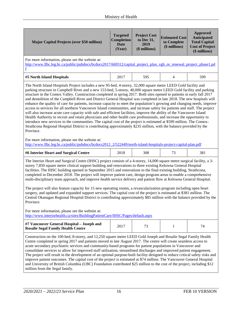| <b>Major Capital Projects (over \$50 million)</b>                                                                                                                                                                                                                                                                                                                                                                                                                                                                                                                                                                                                                                                                                                                                                                                                                                                                                                                                                                                                                                                                                                                                                                                                                 | <b>Targeted</b><br>Completion<br><b>Date</b><br>(Year) | <b>Project Cost</b><br>to Dec 31,<br>2019<br>(\$ millions) | <b>Estimated Cost</b><br>to Complete<br>(\$ millions) | <b>Approved</b><br>Anticipated<br><b>Total Capital</b><br><b>Cost of Project</b><br>(\$ millions) |  |
|-------------------------------------------------------------------------------------------------------------------------------------------------------------------------------------------------------------------------------------------------------------------------------------------------------------------------------------------------------------------------------------------------------------------------------------------------------------------------------------------------------------------------------------------------------------------------------------------------------------------------------------------------------------------------------------------------------------------------------------------------------------------------------------------------------------------------------------------------------------------------------------------------------------------------------------------------------------------------------------------------------------------------------------------------------------------------------------------------------------------------------------------------------------------------------------------------------------------------------------------------------------------|--------------------------------------------------------|------------------------------------------------------------|-------------------------------------------------------|---------------------------------------------------------------------------------------------------|--|
| For more information, please see the website at:<br>http://www.llbc.leg.bc.ca/public/pubdocs/bcdocs2017/669312/capital_project_plan_vgh_or_renewal_project_phase1.pd                                                                                                                                                                                                                                                                                                                                                                                                                                                                                                                                                                                                                                                                                                                                                                                                                                                                                                                                                                                                                                                                                              |                                                        |                                                            |                                                       |                                                                                                   |  |
| #5 North Island Hospitals                                                                                                                                                                                                                                                                                                                                                                                                                                                                                                                                                                                                                                                                                                                                                                                                                                                                                                                                                                                                                                                                                                                                                                                                                                         | 2017                                                   | 595                                                        | 4                                                     | 599                                                                                               |  |
| The North Island Hospitals Project includes a new 95-bed, 4-storey, 32,000 square metre LEED Gold facility and<br>parking structure in Campbell River and a new 153-bed, 5-storey, 40,000 square metre LEED Gold facility and parking<br>structure in the Comox Valley. Construction completed in spring 2017. Both sites opened to patients in early fall 2017<br>and demolition of the Campbell River and District General Hospital was completed in late 2018. The new hospitals will<br>enhance the quality of care for patients, increase capacity to meet the population's growing and changing needs, improve<br>access to services for all northern Vancouver Island communities, and increase safety for patients and staff. The project<br>will also increase acute care capacity with safe and efficient facilities, improve the ability of the Vancouver Island<br>Health Authority to recruit and retain physicians and other health care professionals, and increase the opportunity to<br>introduce new services to the communities. The capital cost of the project is estimated at \$599 million. The Comox-<br>Strathcona Regional Hospital District is contributing approximately \$235 million, with the balance provided by the<br>Province. |                                                        |                                                            |                                                       |                                                                                                   |  |
| For more information, please see the website at:<br>http://www.llbc.leg.bc.ca/public/pubdocs/bcdocs2012_2/522449/north-island-hospitals-project-capital-plan.pdf                                                                                                                                                                                                                                                                                                                                                                                                                                                                                                                                                                                                                                                                                                                                                                                                                                                                                                                                                                                                                                                                                                  |                                                        |                                                            |                                                       |                                                                                                   |  |
| #6 Interior Heart and Surgical Centre                                                                                                                                                                                                                                                                                                                                                                                                                                                                                                                                                                                                                                                                                                                                                                                                                                                                                                                                                                                                                                                                                                                                                                                                                             | 2018                                                   | 308                                                        | 73                                                    | 381                                                                                               |  |
| The Interior Heart and Surgical Centre (IHSC) project consists of a 4-storey, 14,000 square metre surgical facility, a 3-<br>storey 7,850 square metre clinical support building and renovations to three existing Kelowna General Hospital<br>facilities. The IHSC building opened in September 2015 and renovations to the final existing building, Strathcona,<br>completed in December 2018. The project will improve patient care, design program areas to enable a comprehensive<br>multi-disciplinary team approach, and improve health service delivery and patient flow at Kelowna General Hospital.                                                                                                                                                                                                                                                                                                                                                                                                                                                                                                                                                                                                                                                     |                                                        |                                                            |                                                       |                                                                                                   |  |
| The project will also feature capacity for 15 new operating rooms, a revascularization program including open heart<br>surgery, and updated and expanded support services. The capital cost of the project is estimated at \$381 million. The<br>Central Okanagan Regional Hospital District is contributing approximately \$85 million with the balance provided by the<br>Province.                                                                                                                                                                                                                                                                                                                                                                                                                                                                                                                                                                                                                                                                                                                                                                                                                                                                             |                                                        |                                                            |                                                       |                                                                                                   |  |
| For more information, please see the website at:<br>http://www.interiorhealth.ca/sites/BuildingPatientCare/IHSC/Pages/default.aspx                                                                                                                                                                                                                                                                                                                                                                                                                                                                                                                                                                                                                                                                                                                                                                                                                                                                                                                                                                                                                                                                                                                                |                                                        |                                                            |                                                       |                                                                                                   |  |
| #7 Vancouver General Hospital - Joseph and<br><b>Rosalie Segal Family Health Centre</b>                                                                                                                                                                                                                                                                                                                                                                                                                                                                                                                                                                                                                                                                                                                                                                                                                                                                                                                                                                                                                                                                                                                                                                           | 2017                                                   | 73                                                         | 1                                                     | 74                                                                                                |  |
| Construction on the 100-bed, 8-storey, and 12,250 square metre LEED Gold Joseph and Rosalie Segal Family Health<br>Centre completed in spring 2017 and patients moved in late August 2017. The centre will create seamless access to<br>acute secondary psychiatric services and community-based programs for patient populations in Vancouver and<br>consolidate services to allow for improved staff utilization, streamlined discharges and improved patient engagement.<br>The project will result in the development of an optimal purpose-built facility designed to reduce critical safety risks and<br>improve patient outcomes. The capital cost of the project is estimated at \$74 million. The Vancouver General Hospital<br>and University of British Columbia (UBC) Foundation contributed \$25 million to the cost of the project, including \$12<br>million from the Segal family.                                                                                                                                                                                                                                                                                                                                                                |                                                        |                                                            |                                                       |                                                                                                   |  |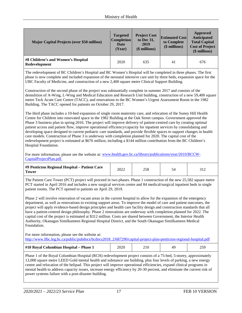| <b>Major Capital Projects (over \$50 million)</b>   | <b>Targeted</b><br><b>Completion</b><br>Date<br>(Year) | <b>Project Cost</b><br>to Dec 31,<br>2019<br>$$$ millions) | <b>Estimated Cost</b><br>to Complete<br>(\$ millions) | Approved<br>Anticipated<br><b>Total Capital</b><br><b>Cost of Project</b><br>$$$ millions) |
|-----------------------------------------------------|--------------------------------------------------------|------------------------------------------------------------|-------------------------------------------------------|--------------------------------------------------------------------------------------------|
| #8 Children's and Women's Hospital<br>Redevelopment | 2020                                                   | 635                                                        | 41                                                    | 676                                                                                        |

The redevelopment of BC Children's Hospital and BC Women's Hospital will be completed in three phases. The first phase is now complete and included expansion of the neonatal intensive care unit by three beds, expansion space for the UBC Faculty of Medicine, and construction of a new 2,400 square metre Clinical Support Building.

Construction of the second phase of the project was substantially complete in summer 2017 and consists of the demolition of A-Wing, L-Wing and Medical Education and Research Unit building, construction of a new 59,400 square metre Teck Acute Care Centre (TACC), and renovations to the BC Women's Urgent Assessment Room in the 1982 Building. The TACC opened for patients on October 29, 2017.

The third phase includes a 10-bed expansion of single room maternity care, and relocation of the Sunny Hill Health Centre for Children into renovated space in the 1982 Building at the Oak Street campus. Government approved the Phase 3 business plan in spring 2016. The project will improve delivery of patient-centred care by creating optimal patient access and patient flow, improve operational efficiency/capacity for inpatient services by consolidating and developing space designed to current pediatric care standards, and provide flexible spaces to support changes in health care models. Construction of Phase 3 is underway with completion planned for 2020. The capital cost of the redevelopment project is estimated at \$676 million, including a \$144 million contribution from the BC Children's Hospital Foundation.

For more information, please see the website at[: www.health.gov.bc.ca/library/publications/year/2010/BCCW-](http://www.health.gov.bc.ca/library/publications/year/2010/BCCW-CapitalProjectPlan.pdf)[CapitalProjectPlan.pdf.](http://www.health.gov.bc.ca/library/publications/year/2010/BCCW-CapitalProjectPlan.pdf)

| #9 Penticton Regional Hospital - Patient Care<br>Tower | 2022 |  |  |  |
|--------------------------------------------------------|------|--|--|--|
|--------------------------------------------------------|------|--|--|--|

The Patient Care Tower (PCT) project will proceed in two phases. Phase 1 construction of the new 25,582 square metre PCT started in April 2016 and includes a new surgical services centre and 84 medical/surgical inpatient beds in single patient rooms. The PCT opened to patients on April 29, 2019.

Phase 2 will involve renovation of vacant areas in the current hospital to allow for the expansion of the emergency department, as well as renovations to existing support areas. To improve the model of care and patient outcomes, the project will apply evidence-based design principles and health care facility design and construction standards that all have a patient-centred design philosophy. Phase 2 renovations are underway with completion planned for 2022. The capital cost of the project is estimated at \$312 million. Costs are shared between Government, the Interior Health Authority, Okanagan Similkameen Regional Hospital District, and the South Okanagan Similkameen Medical Foundation.

For more information, please see the website at: [http://www.llbc.leg.bc.ca/public/pubdocs/bcdocs2018\\_2/687290/capital-project-plan-penticton-regional-hospital.pdf](http://www.llbc.leg.bc.ca/public/pubdocs/bcdocs2018_2/687290/capital-project-plan-penticton-regional-hospital.pdf)

| #10 Royal Columbian Hospital - Phase 1<br>2020 |
|------------------------------------------------|
|------------------------------------------------|

Phase 1 of the Royal Columbian Hospital (RCH) redevelopment project consists of a 75-bed, 5-storey, approximately 13,000 square metre LEED Gold mental health and substance use building, plus four levels of parking, a new energy centre and relocation of the helipad. This project will improve operational efficiencies, expand clinical programs in mental health to address capacity issues, increase energy efficiency by 20-30 percent, and eliminate the current risk of power systems failure with a post-disaster building.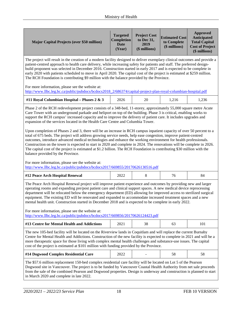| <b>Major Capital Projects (over \$50 million)</b>                                                                                                                                                                                                                                                                                                                                                                                                                                                                                                                                                                                                                                                                                                                                                                                                                                                                                                                                                                                                                                                                                                                                                                                              | <b>Targeted</b><br>Completion<br><b>Date</b><br>(Year) | <b>Project Cost</b><br>to Dec 31,<br>2019<br>(\$ millions) | <b>Estimated Cost</b><br>to Complete<br>(\$ millions) | <b>Approved</b><br>Anticipated<br><b>Total Capital</b><br><b>Cost of Project</b><br>(\$ millions) |  |
|------------------------------------------------------------------------------------------------------------------------------------------------------------------------------------------------------------------------------------------------------------------------------------------------------------------------------------------------------------------------------------------------------------------------------------------------------------------------------------------------------------------------------------------------------------------------------------------------------------------------------------------------------------------------------------------------------------------------------------------------------------------------------------------------------------------------------------------------------------------------------------------------------------------------------------------------------------------------------------------------------------------------------------------------------------------------------------------------------------------------------------------------------------------------------------------------------------------------------------------------|--------------------------------------------------------|------------------------------------------------------------|-------------------------------------------------------|---------------------------------------------------------------------------------------------------|--|
| The project will result in the creation of a modern facility designed to deliver exemplary clinical outcomes and provide a<br>patient-centred approach to health care delivery, while increasing safety for patients and staff. The preferred design-<br>build proponent was selected in December 2016. Construction started in early 2017 and is expected to be complete in<br>early 2020 with patients scheduled to move in April 2020. The capital cost of the project is estimated at \$259 million.<br>The RCH Foundation is contributing \$9 million with the balance provided by the Province.                                                                                                                                                                                                                                                                                                                                                                                                                                                                                                                                                                                                                                          |                                                        |                                                            |                                                       |                                                                                                   |  |
| For more information, please see the website at:<br>http://www.llbc.leg.bc.ca/public/pubdocs/bcdocs2018_2/686374/capital-project-plan-royal-columbian-hospital.pdf                                                                                                                                                                                                                                                                                                                                                                                                                                                                                                                                                                                                                                                                                                                                                                                                                                                                                                                                                                                                                                                                             |                                                        |                                                            |                                                       |                                                                                                   |  |
| #11 Royal Columbian Hospital - Phases 2 & 3                                                                                                                                                                                                                                                                                                                                                                                                                                                                                                                                                                                                                                                                                                                                                                                                                                                                                                                                                                                                                                                                                                                                                                                                    | 2026                                                   | 20                                                         | 1,216                                                 | 1,236                                                                                             |  |
| Phase 2 of the RCH redevelopment project consists of a 348-bed, 11-storey, approximately 55,000 square metre Acute<br>Care Tower with an underground parkade and heliport on top of the building. Phase 3 is critical, enabling works to<br>support the RCH campus' increased capacity and to improve the delivery of patient care. It includes upgrades and<br>expansion of the services located in the Health Care Centre and Columbia Tower.<br>Upon completion of Phases 2 and 3, there will be an increase in RCH campus inpatient capacity of over 50 percent to a<br>total of 675 beds. The project will address growing service needs, help ease congestion, improve patient-centred<br>outcomes, introduce advanced medical technologies and enhance the working environment for health professionals.<br>Construction on the tower is expected to start in 2020 and complete in 2024. The renovations will be complete in 2026.<br>The capital cost of the project is estimated at \$1.2 billion. The RCH Foundation is contributing \$30 million with the<br>balance provided by the Province.<br>For more information, please see the website at:<br>http://www.llbc.leg.bc.ca/public/pubdocs/bcdocs2017/669855/20170626130516.pdf |                                                        |                                                            |                                                       |                                                                                                   |  |
| #12 Peace Arch Hospital Renewal                                                                                                                                                                                                                                                                                                                                                                                                                                                                                                                                                                                                                                                                                                                                                                                                                                                                                                                                                                                                                                                                                                                                                                                                                | 2022                                                   | 8                                                          | 76                                                    | 84                                                                                                |  |
| The Peace Arch Hospital Renewal project will improve patient experience and outcomes by providing new and larger<br>operating rooms and expanding pre/post patient care and clinical support spaces. A new medical device reprocessing<br>department will be relocated below the emergency department (ED) allowing for improved access to sterilized surgical<br>equipment. The existing ED will be renovated and expanded to accommodate increased treatment spaces and a new<br>mental health unit. Construction started in December 2018 and is expected to be complete in early 2022.<br>For more information, please see the website at:<br>http://www.llbc.leg.bc.ca/public/pubdocs/bcdocs2017/669856/20170626124423.pdf                                                                                                                                                                                                                                                                                                                                                                                                                                                                                                                |                                                        |                                                            |                                                       |                                                                                                   |  |
| #13 Centre for Mental Health and Addictions                                                                                                                                                                                                                                                                                                                                                                                                                                                                                                                                                                                                                                                                                                                                                                                                                                                                                                                                                                                                                                                                                                                                                                                                    | 2021                                                   | 38                                                         | 63                                                    | 101                                                                                               |  |
| The new 105-bed facility will be located on the Riverview lands in Coquitlam and will replace the current Burnaby<br>Centre for Mental Health and Addictions. Construction of the new facility is expected to complete in 2021 and will be a<br>more therapeutic space for those living with complex mental health challenges and substance-use issues. The capital<br>cost of the project is estimated at \$101 million with funding provided by the Province.                                                                                                                                                                                                                                                                                                                                                                                                                                                                                                                                                                                                                                                                                                                                                                                |                                                        |                                                            |                                                       |                                                                                                   |  |
| #14 Dogwood Complex Residential Care                                                                                                                                                                                                                                                                                                                                                                                                                                                                                                                                                                                                                                                                                                                                                                                                                                                                                                                                                                                                                                                                                                                                                                                                           | 2022                                                   |                                                            | 58                                                    | 58                                                                                                |  |

The \$57.6 million replacement 150-bed complex residential care facility will be located on Lot 5 of the Pearson Dogwood site in Vancouver. The project is to be funded by Vancouver Coastal Health Authority from net sale proceeds from the sale of the combined Pearson and Dogwood properties. Design is underway and construction is planned to start in March 2020 and complete in late 2022.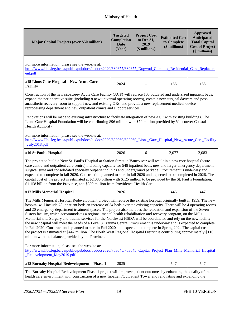| <b>Major Capital Projects (over \$50 million)</b>                                                                                                                                                                                                                                                                                                                                                                                                                                                                                                                                                                                                                                                                                                                                                                                                                                                                                                                                                                                                         | <b>Targeted</b><br>Completion<br><b>Date</b><br>(Year) | <b>Project Cost</b><br>to Dec 31,<br>2019<br>(\$ millions) | <b>Estimated Cost</b><br>to Complete<br>(\$ millions) | <b>Approved</b><br>Anticipated<br><b>Total Capital</b><br><b>Cost of Project</b><br>(\$ millions) |  |
|-----------------------------------------------------------------------------------------------------------------------------------------------------------------------------------------------------------------------------------------------------------------------------------------------------------------------------------------------------------------------------------------------------------------------------------------------------------------------------------------------------------------------------------------------------------------------------------------------------------------------------------------------------------------------------------------------------------------------------------------------------------------------------------------------------------------------------------------------------------------------------------------------------------------------------------------------------------------------------------------------------------------------------------------------------------|--------------------------------------------------------|------------------------------------------------------------|-------------------------------------------------------|---------------------------------------------------------------------------------------------------|--|
| For more information, please see the website at:<br>http://www.llbc.leg.bc.ca/public/pubdocs/bcdocs2020/689677/689677 Dogwod Complex Residential Care Replacem<br>ent.pdf                                                                                                                                                                                                                                                                                                                                                                                                                                                                                                                                                                                                                                                                                                                                                                                                                                                                                 |                                                        |                                                            |                                                       |                                                                                                   |  |
| #15 Lions Gate Hospital - New Acute Care<br><b>Facility</b>                                                                                                                                                                                                                                                                                                                                                                                                                                                                                                                                                                                                                                                                                                                                                                                                                                                                                                                                                                                               | 2024                                                   |                                                            | 166                                                   | 166                                                                                               |  |
| Construction of the new six-storey Acute Care Facility (ACF) will replace 108 outdated and undersized inpatient beds,<br>expand the perioperative suite (including 8 new universal operating rooms), create a new surgical daycare and post-<br>anaesthetic recovery room to support new and existing ORs, and provide a new replacement medical device<br>reprocessing department and new outpatient clinics and support services.                                                                                                                                                                                                                                                                                                                                                                                                                                                                                                                                                                                                                       |                                                        |                                                            |                                                       |                                                                                                   |  |
| Renovations will be made to existing infrastructure to facilitate integration of new ACF with existing buildings. The<br>Lions Gate Hospital Foundation will be contributing \$96 million with \$70 million provided by Vancouver Coastal<br><b>Health Authority</b>                                                                                                                                                                                                                                                                                                                                                                                                                                                                                                                                                                                                                                                                                                                                                                                      |                                                        |                                                            |                                                       |                                                                                                   |  |
| For more information, please see the website at:<br>http://www.llbc.leg.bc.ca/public/pubdocs/bcdocs2020/692060/692060 Lions Gate Hospital New Acute Care Facility<br>July2018.pdf                                                                                                                                                                                                                                                                                                                                                                                                                                                                                                                                                                                                                                                                                                                                                                                                                                                                         |                                                        |                                                            |                                                       |                                                                                                   |  |
| #16 St Paul's Hospital                                                                                                                                                                                                                                                                                                                                                                                                                                                                                                                                                                                                                                                                                                                                                                                                                                                                                                                                                                                                                                    | 2026                                                   | 6                                                          | 2,077                                                 | 2,083                                                                                             |  |
| The project to build a New St. Paul's Hospital at Station Street in Vancouver will result in a new core hospital (acute<br>care centre and outpatient care centre) including capacity for 548 inpatient beds, new and larger emergency department,<br>surgical suite and consolidated specialty outpatient clinics and underground parkade. Procurement is underway and<br>expected to complete in fall 2020. Construction planned to start in fall 2020 and expected to be completed in 2026. The<br>capital cost of the project is estimated at \$2.083 billion with \$125 million to be provided by the St. Paul's Foundation,<br>\$1.158 billion from the Province, and \$800 million from Providence Health Care.                                                                                                                                                                                                                                                                                                                                    |                                                        |                                                            |                                                       |                                                                                                   |  |
| #17 Mills Memorial Hospital                                                                                                                                                                                                                                                                                                                                                                                                                                                                                                                                                                                                                                                                                                                                                                                                                                                                                                                                                                                                                               | 2026                                                   | 1                                                          | 446                                                   | 447                                                                                               |  |
| The Mills Memorial Hospital Redevelopment project will replace the existing hospital originally built in 1959. The new<br>hospital will include 78 inpatient beds an increase of 34 beds over the existing capacity. There will be 4 operating rooms<br>and 20 emergency department treatment spaces. The project also includes the relocation and expansion of the Seven<br>Sisters facility, which accommodates a regional mental health rehabilitation and recovery program, on the Mills<br>Memorial site. Surgery and trauma services for the Northwest HSDA will be coordinated and rely on the new facility,<br>the new hospital will meet the needs of a Level 3 Trauma Centre. Procurement is underway and is expected to complete<br>in Fall 2020. Construction is planned to start in Fall 2020 and expected to complete in Spring 2024. The capital cost of<br>the project is estimated at \$447 million. The North West Regional Hospital District is contributing approximately \$110<br>million with the balance provided by the Province. |                                                        |                                                            |                                                       |                                                                                                   |  |
| For more information, please see the website at:<br>http://www.llbc.leg.bc.ca/public/pubdocs/bcdocs2020/703045/703045_Capital_Project_Plan_Mills_Memorial_Hospital<br>Redevelopment May2019.pdf                                                                                                                                                                                                                                                                                                                                                                                                                                                                                                                                                                                                                                                                                                                                                                                                                                                           |                                                        |                                                            |                                                       |                                                                                                   |  |
| #18 Burnaby Hospital Redevelopment - Phase 1                                                                                                                                                                                                                                                                                                                                                                                                                                                                                                                                                                                                                                                                                                                                                                                                                                                                                                                                                                                                              | 2025                                                   |                                                            | 547                                                   | 547                                                                                               |  |
| The Burnaby Hospital Redevelopment Phase 1 project will improve patient outcomes by enhancing the quality of the<br>health care environment with construction of a new Inpatient/Outpatient Tower and renovating and expanding the                                                                                                                                                                                                                                                                                                                                                                                                                                                                                                                                                                                                                                                                                                                                                                                                                        |                                                        |                                                            |                                                       |                                                                                                   |  |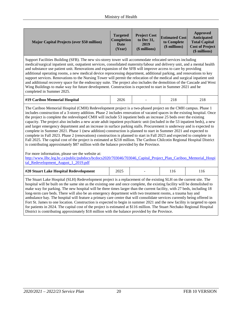| <b>Major Capital Projects (over \$50 million)</b> | <b>Targeted</b><br><b>Completion</b><br>Date<br>(Year) | <b>Project Cost</b><br>to Dec 31,<br>2019<br>(\$ millions) | <b>Estimated Cost</b><br>to Complete<br>(\$ millions) | Approved<br>Anticipated<br><b>Total Capital</b><br><b>Cost of Project</b><br>(\$ millions) |
|---------------------------------------------------|--------------------------------------------------------|------------------------------------------------------------|-------------------------------------------------------|--------------------------------------------------------------------------------------------|
|---------------------------------------------------|--------------------------------------------------------|------------------------------------------------------------|-------------------------------------------------------|--------------------------------------------------------------------------------------------|

Support Facilities Building (SFB). The new six-storey tower will accommodate relocated services including medical/surgical inpatient unit, outpatient services, consolidated maternity/labour and delivery unit, and a mental health and substance use patient unit. Renovations and expansion of the SFB will improve access to care by providing additional operating rooms, a new medical device reprocessing department, additional parking, and renovations to key support services. Renovations to the Nursing Tower will permit the relocation of the medical and surgical inpatient unit and additional recovery space for the endoscopy suite. The project also includes the demolition of the Cascade and West Wing Buildings to make way for future development. Construction is expected to start in Summer 2021 and be completed in Summer 2025.

|  | #19 Cariboo Memorial Hospital<br>2026<br>21 C |  |
|--|-----------------------------------------------|--|
|--|-----------------------------------------------|--|

The Cariboo Memorial Hospital (CMH) Redevelopment project is a two-phased project on the CMH campus. Phase 1 includes construction of a 3-storey addition. Phase 2 includes renovation of vacated spaces in the existing hospital. Once the project is complete the redeveloped CMH will include 53 inpatient beds an increase 25 beds over the existing capacity. The project also includes a new acute adult inpatient psychiatric unit (included in the 53 inpatient beds), a new and larger emergency department and an increase in surface parking stalls. Procurement is underway and is expected to complete in Summer 2021. Phase 1 (new addition) construction is planned to start in Summer 2021 and expected to complete in Fall 2023. Phase 2 (renovations) construction is planned to start in Fall 2023 and expected to complete in Fall 2025. The capital cost of the project is estimated at \$218 million. The Cariboo Chilcotin Regional Hospital District is contributing approximately \$87 million with the balance provided by the Province.

For more information, please see the website at:

[http://www.llbc.leg.bc.ca/public/pubdocs/bcdocs2020/703046/703046\\_Capital\\_Project\\_Plan\\_Cariboo\\_Memorial\\_Hospi](http://www.llbc.leg.bc.ca/public/pubdocs/bcdocs2020/703046/703046_Capital_Project_Plan_Cariboo_Memorial_Hospital_Redevelopment_August_1_2019.pdf) tal Redevelopment August 1 2019.pdf

| #20 Stuart Lake Hospital Redevelopment |  |  |
|----------------------------------------|--|--|
|                                        |  |  |

The Stuart Lake Hospital (SLH) Redevelopment project is a replacement of the existing SLH on the current site. The hospital will be built on the same site as the existing one and once complete, the existing facility will be demolished to make way for parking. The new hospital will be three times larger than the current facility, with 27 beds, including 18 long-term care beds. There will also be an emergency department with two treatment rooms, a trauma bay and ambulance bay. The hospital will feature a primary care centre that will consolidate services currently being offered in Fort St. James to one location. Construction is expected to begin in summer 2021 and the new facility is targeted to open for patients in 2024. The capital cost of the project is estimated at \$116 million. The Stuart Nechako Regional Hospital District is contributing approximately \$18 million with the balance provided by the Province.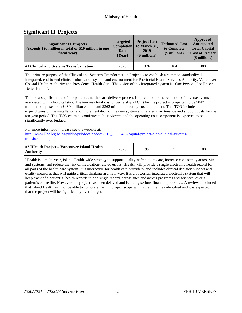# <span id="page-20-0"></span>**Significant IT Projects**

| <b>Significant IT Projects</b><br>(exceeds \$20 million in total or \$10 million in one<br>fiscal year)                                                                                                                                                                                                                                                                                                                                                                                                                                                                                                                                                                                                                                                                                                                                                                                                                                                                                                                                                                                                                                                                                                           | <b>Targeted</b><br><b>Completion</b><br><b>Date</b><br>(Year) | <b>Project Cost</b><br>to March 31,<br>2019<br>(\$ millions) | <b>Estimated Cost</b><br>to Complete<br>(\$ millions) | <b>Approved</b><br><b>Anticipated</b><br><b>Total Capital</b><br><b>Cost of Project</b><br>(\$ millions) |  |  |  |
|-------------------------------------------------------------------------------------------------------------------------------------------------------------------------------------------------------------------------------------------------------------------------------------------------------------------------------------------------------------------------------------------------------------------------------------------------------------------------------------------------------------------------------------------------------------------------------------------------------------------------------------------------------------------------------------------------------------------------------------------------------------------------------------------------------------------------------------------------------------------------------------------------------------------------------------------------------------------------------------------------------------------------------------------------------------------------------------------------------------------------------------------------------------------------------------------------------------------|---------------------------------------------------------------|--------------------------------------------------------------|-------------------------------------------------------|----------------------------------------------------------------------------------------------------------|--|--|--|
| #1 Clinical and Systems Transformation                                                                                                                                                                                                                                                                                                                                                                                                                                                                                                                                                                                                                                                                                                                                                                                                                                                                                                                                                                                                                                                                                                                                                                            | 2023                                                          | 376                                                          | 104                                                   | 480                                                                                                      |  |  |  |
| The primary purpose of the Clinical and Systems Transformation Project is to establish a common standardized,<br>integrated, end-to-end clinical information system and environment for Provincial Health Services Authority, Vancouver<br>Coastal Health Authority and Providence Health Care. The vision of this integrated system is "One Person. One Record.<br>Better Health".<br>The most significant benefit to patients and the care delivery process is in relation to the reduction of adverse events<br>associated with a hospital stay. The ten-year total cost of ownership (TCO) for the project is projected to be \$842<br>million, composed of a \$480 million capital and \$362 million operating cost component. This TCO includes<br>expenditures on the installation and implementation of the new system and related maintenance and support costs for the<br>ten-year period. This TCO estimate continues to be reviewed and the operating cost component is expected to be<br>significantly over budget.<br>For more information, please see the website at:<br>http://www.llbc.leg.bc.ca/public/pubdocs/bcdocs2013 2/536407/capital-project-plan-clinical-systems-<br>transformation.pdf |                                                               |                                                              |                                                       |                                                                                                          |  |  |  |
| #2 IHealth Project - Vancouver Island Health<br><b>Authority</b>                                                                                                                                                                                                                                                                                                                                                                                                                                                                                                                                                                                                                                                                                                                                                                                                                                                                                                                                                                                                                                                                                                                                                  | 2020                                                          | 95                                                           | 5                                                     | 100                                                                                                      |  |  |  |
| IHealth is a multi-year, Island Health-wide strategy to support quality, safe patient care, increase consistency across sites<br>and systems, and reduce the risk of medication-related errors. IHealth will provide a single electronic health record for<br>all parts of the health care system. It is interactive for health care providers, and includes clinical decision support and<br>quality measures that will guide critical thinking in a new way. It is a powerful, integrated electronic system that will<br>keep track of a patient's health records in one single record, across sites and across programs and services, over a<br>patient's entire life. However, the project has been delayed and is facing serious financial pressures. A review concluded<br>that Island Health will not be able to complete the full project scope within the timelines identified and it is expected<br>that the project will be significantly over budget.                                                                                                                                                                                                                                                 |                                                               |                                                              |                                                       |                                                                                                          |  |  |  |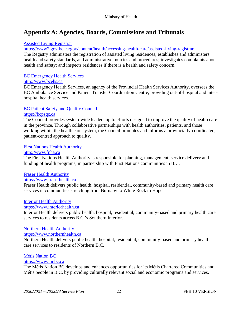# <span id="page-21-0"></span>**Appendix A: Agencies, Boards, Commissions and Tribunals**

# [Assisted Living Registrar](https://www2.gov.bc.ca/gov/content/health/accessing-health-care/assisted-living-registrar)

<https://www2.gov.bc.ca/gov/content/health/accessing-health-care/assisted-living-registrar>

The Registry administers the registration of assisted living residences; establishes and administers health and safety standards, and administrative policies and procedures; investigates complaints about health and safety; and inspects residences if there is a health and safety concern.

#### [BC Emergency Health Services](http://www.bcehs.ca/)

#### [http://www.bcehs.ca](http://www.bcehs.ca/)

BC Emergency Health Services, an agency of the Provincial Health Services Authority, oversees the BC Ambulance Service and Patient Transfer Coordination Centre, providing out-of-hospital and interhospital health services.

# [BC Patient Safety and Quality Council](https://bcpsqc.ca/)

# [https://bcpsqc.ca](https://bcpsqc.ca/)

The Council provides system-wide leadership to efforts designed to improve the quality of health care in the province. Through collaborative partnerships with health authorities, patients, and those working within the health care system, the Council promotes and informs a provincially-coordinated, patient-centred approach to quality.

# [First Nations Health Authority](http://www.fnha.ca/about/fnha-overview)

#### [http://www.fnha.ca](http://www.fnha.ca/)

The First Nations Health Authority is responsible for planning, management, service delivery and funding of health programs, in partnership with First Nations communities in B.C.

# [Fraser Health Authority](https://www.fraserhealth.ca/)

# [https://www.fraserhealth.ca](https://www.fraserhealth.ca/)

Fraser Health delivers public health, hospital, residential, community-based and primary health care services in communities stretching from Burnaby to White Rock to Hope.

#### [Interior Health Authority](https://www.interiorhealth.ca/Pages/default.aspx)

#### [https://www.interiorhealth.ca](https://www.interiorhealth.ca/)

Interior Health delivers public health, hospital, residential, community-based and primary health care services to residents across B.C.'s Southern Interior.

# [Northern Health Authority](https://www.northernhealth.ca/)

#### [https://www.northernhealth.ca](https://www.northernhealth.ca/)

Northern Health delivers public health, hospital, residential, community-based and primary health care services to residents of Northern B.C.

# [Métis Nation BC](https://www.mnbc.ca/)

# [https://www.mnbc.ca](https://www.mnbc.ca/)

The Métis Nation BC develops and enhances opportunities for its Métis Chartered Communities and Métis people in B.C. by providing culturally relevant social and economic programs and services.